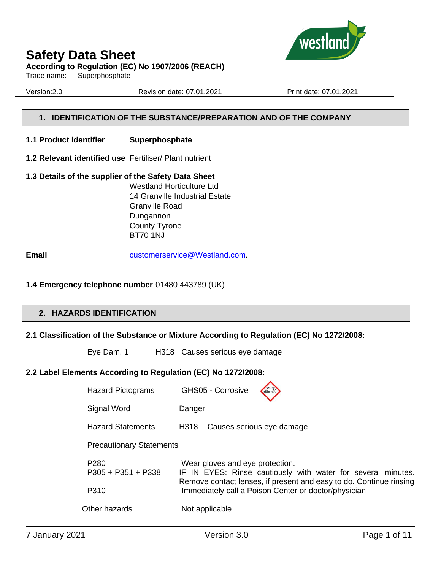

**According to Regulation (EC) No 1907/2006 (REACH)**

Trade name: Superphosphate

Version:2.0 Revision date: 07.01.2021 Print date: 07.01.2021

## **1. IDENTIFICATION OF THE SUBSTANCE/PREPARATION AND OF THE COMPANY**

- **1.1 Product identifier Superphosphate**
- **1.2 Relevant identified use** Fertiliser/ Plant nutrient
- **1.3 Details of the supplier of the Safety Data Sheet** Westland Horticulture Ltd 14 Granville Industrial Estate Granville Road Dungannon County Tyrone BT70 1NJ

**Email** [customerservice@Westland.com.](mailto:customerservice@Westland.com)

## **1.4 Emergency telephone number** 01480 443789 (UK)

## **2. HAZARDS IDENTIFICATION**

## **2.1 Classification of the Substance or Mixture According to Regulation (EC) No 1272/2008:**

Eye Dam. 1 H318 Causes serious eye damage

## **2.2 Label Elements According to Regulation (EC) No 1272/2008:**

| <b>Hazard Pictograms</b>                         | GHS05 - Corrosive                                                                                                                                                                                                             |  |  |  |
|--------------------------------------------------|-------------------------------------------------------------------------------------------------------------------------------------------------------------------------------------------------------------------------------|--|--|--|
| Signal Word                                      | Danger                                                                                                                                                                                                                        |  |  |  |
| <b>Hazard Statements</b>                         | Causes serious eye damage<br>H318                                                                                                                                                                                             |  |  |  |
| <b>Precautionary Statements</b>                  |                                                                                                                                                                                                                               |  |  |  |
| P <sub>280</sub><br>$P305 + P351 + P338$<br>P310 | Wear gloves and eye protection.<br>IF IN EYES: Rinse cautiously with water for several minutes.<br>Remove contact lenses, if present and easy to do. Continue rinsing<br>Immediately call a Poison Center or doctor/physician |  |  |  |
| Other hazards                                    | Not applicable                                                                                                                                                                                                                |  |  |  |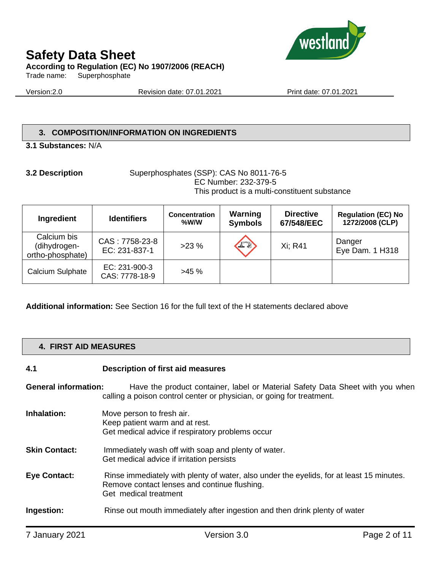

Trade name: Superphosphate

Version:2.0 Revision date: 07.01.2021 Print date: 07.01.2021

## **3. COMPOSITION/INFORMATION ON INGREDIENTS**

### **3.1 Substances:** N/A

#### **3.2 Description** Superphosphates (SSP): CAS No 8011-76-5 EC Number: 232-379-5 This product is a multi-constituent substance

| Ingredient                                      | <b>Identifiers</b>              | <b>Concentration</b><br>$%$ W/W | Warning<br><b>Symbols</b> | <b>Directive</b><br>67/548/EEC | <b>Regulation (EC) No</b><br>1272/2008 (CLP) |
|-------------------------------------------------|---------------------------------|---------------------------------|---------------------------|--------------------------------|----------------------------------------------|
| Calcium bis<br>(dihydrogen-<br>ortho-phosphate) | CAS: 7758-23-8<br>EC: 231-837-1 | $>23\%$                         | 上                         | Xi: R41                        | Danger<br>Eye Dam. 1 H318                    |
| Calcium Sulphate                                | EC: 231-900-3<br>CAS: 7778-18-9 | $>45\%$                         |                           |                                |                                              |

**Additional information:** See Section 16 for the full text of the H statements declared above

## **4. FIRST AID MEASURES**

## **4.1 Description of first aid measures**

**General information:** Have the product container, label or Material Safety Data Sheet with you when

calling a poison control center or physician, or going for treatment.

- **Inhalation:** Move person to fresh air. Keep patient warm and at rest. Get medical advice if respiratory problems occur
- **Skin Contact:** Immediately wash off with soap and plenty of water. Get medical advice if irritation persists
- **Eye Contact:** Rinse immediately with plenty of water, also under the eyelids, for at least 15 minutes. Remove contact lenses and continue flushing. Get medical treatment
- **Ingestion:** Rinse out mouth immediately after ingestion and then drink plenty of water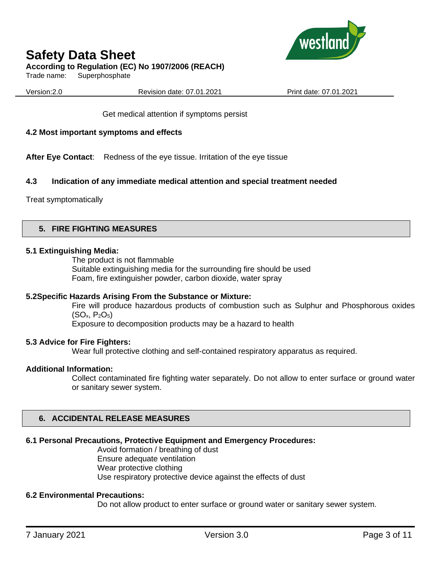

## **According to Regulation (EC) No 1907/2006 (REACH)**

Trade name: Superphosphate

Version:2.0 Revision date: 07.01.2021 Print date: 07.01.2021

Get medical attention if symptoms persist

## **4.2 Most important symptoms and effects**

**After Eye Contact**: Redness of the eye tissue. Irritation of the eye tissue

### **4.3 Indication of any immediate medical attention and special treatment needed**

Treat symptomatically

### **5. FIRE FIGHTING MEASURES**

#### **5.1 Extinguishing Media:**

The product is not flammable Suitable extinguishing media for the surrounding fire should be used Foam, fire extinguisher powder, carbon dioxide, water spray

#### **5.2Specific Hazards Arising From the Substance or Mixture:**

Fire will produce hazardous products of combustion such as Sulphur and Phosphorous oxides  $(SO_x, P_2O_5)$ 

Exposure to decomposition products may be a hazard to health

#### **5.3 Advice for Fire Fighters:**

Wear full protective clothing and self-contained respiratory apparatus as required.

#### **Additional Information:**

Collect contaminated fire fighting water separately. Do not allow to enter surface or ground water or sanitary sewer system.

## **6. ACCIDENTAL RELEASE MEASURES**

## **6.1 Personal Precautions, Protective Equipment and Emergency Procedures:**

Avoid formation / breathing of dust Ensure adequate ventilation Wear protective clothing Use respiratory protective device against the effects of dust

## **6.2 Environmental Precautions:**

Do not allow product to enter surface or ground water or sanitary sewer system.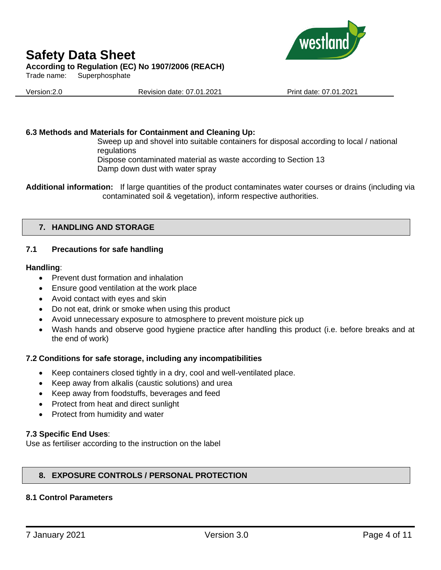

Trade name: Superphosphate

Version:2.0 Revision date: 07.01.2021 Print date: 07.01.2021

## **6.3 Methods and Materials for Containment and Cleaning Up:**

Sweep up and shovel into suitable containers for disposal according to local / national regulations

Dispose contaminated material as waste according to Section 13 Damp down dust with water spray

**Additional information:** If large quantities of the product contaminates water courses or drains (including via contaminated soil & vegetation), inform respective authorities.

## **7. HANDLING AND STORAGE**

## **7.1 Precautions for safe handling**

### **Handling**:

- Prevent dust formation and inhalation
- Ensure good ventilation at the work place
- Avoid contact with eyes and skin
- Do not eat, drink or smoke when using this product
- Avoid unnecessary exposure to atmosphere to prevent moisture pick up
- Wash hands and observe good hygiene practice after handling this product (i.e. before breaks and at the end of work)

## **7.2 Conditions for safe storage, including any incompatibilities**

- Keep containers closed tightly in a dry, cool and well-ventilated place.
- Keep away from alkalis (caustic solutions) and urea
- Keep away from foodstuffs, beverages and feed
- Protect from heat and direct sunlight
- Protect from humidity and water

## **7.3 Specific End Uses**:

Use as fertiliser according to the instruction on the label

## **8. EXPOSURE CONTROLS / PERSONAL PROTECTION**

## **8.1 Control Parameters**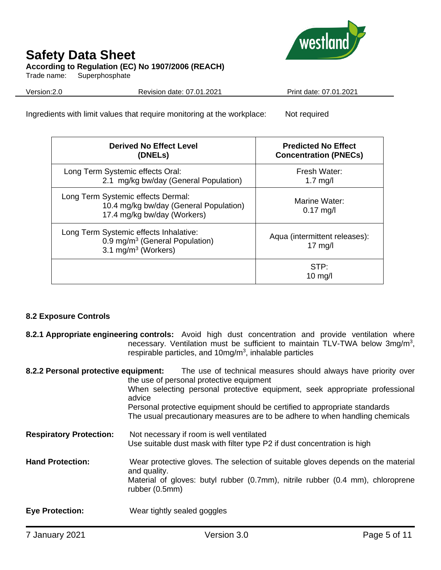

Trade name: Superphosphate

Version:2.0 Revision date: 07.01.2021 Print date: 07.01.2021

Ingredients with limit values that require monitoring at the workplace: Not required

| <b>Derived No Effect Level</b><br>(DNELs)                                                                      | <b>Predicted No Effect</b><br><b>Concentration (PNECs)</b> |  |
|----------------------------------------------------------------------------------------------------------------|------------------------------------------------------------|--|
| Long Term Systemic effects Oral:<br>2.1 mg/kg bw/day (General Population)                                      | Fresh Water:<br>$1.7 \text{ mg/l}$                         |  |
| Long Term Systemic effects Dermal:<br>10.4 mg/kg bw/day (General Population)<br>17.4 mg/kg bw/day (Workers)    | Marine Water:<br>$0.17$ mg/l                               |  |
| Long Term Systemic effects Inhalative:<br>0.9 mg/m <sup>3</sup> (General Population)<br>3.1 mg/m $3$ (Workers) | Aqua (intermittent releases):<br>$17 \text{ mg/l}$         |  |
|                                                                                                                | STP:<br>$10 \text{ mg/l}$                                  |  |

## **8.2 Exposure Controls**

**8.2.1 Appropriate engineering controls:** Avoid high dust concentration and provide ventilation where necessary. Ventilation must be sufficient to maintain TLV-TWA below 3mg/m<sup>3</sup>, respirable particles, and  $10$ mg/m<sup>3</sup>, inhalable particles

| 8.2.2 Personal protective equipment: | The use of technical measures should always have priority over<br>the use of personal protective equipment<br>When selecting personal protective equipment, seek appropriate professional<br>advice<br>Personal protective equipment should be certified to appropriate standards<br>The usual precautionary measures are to be adhere to when handling chemicals |
|--------------------------------------|-------------------------------------------------------------------------------------------------------------------------------------------------------------------------------------------------------------------------------------------------------------------------------------------------------------------------------------------------------------------|
| <b>Respiratory Protection:</b>       | Not necessary if room is well ventilated<br>Use suitable dust mask with filter type P2 if dust concentration is high                                                                                                                                                                                                                                              |
| <b>Hand Protection:</b>              | Wear protective gloves. The selection of suitable gloves depends on the material<br>and quality.<br>Material of gloves: butyl rubber (0.7mm), nitrile rubber (0.4 mm), chloroprene<br>rubber (0.5mm)                                                                                                                                                              |
| <b>Eye Protection:</b>               | Wear tightly sealed goggles                                                                                                                                                                                                                                                                                                                                       |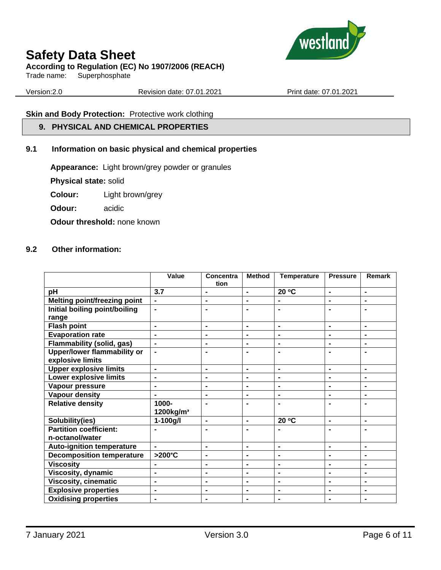

## **According to Regulation (EC) No 1907/2006 (REACH)**

Trade name: Superphosphate

Version:2.0 Revision date: 07.01.2021 Print date: 07.01.2021

## **Skin and Body Protection:** Protective work clothing

## **9. PHYSICAL AND CHEMICAL PROPERTIES**

## **9.1 Information on basic physical and chemical properties**

**Appearance:** Light brown/grey powder or granules

**Physical state:** solid

**Colour:** Light brown/grey

**Odour:** acidic

**Odour threshold:** none known

### **9.2 Other information:**

|                                        | Value                 | Concentra<br>tion            | <b>Method</b>  | <b>Temperature</b> | <b>Pressure</b> | Remark         |
|----------------------------------------|-----------------------|------------------------------|----------------|--------------------|-----------------|----------------|
| pH                                     | 3.7                   | $\blacksquare$               | $\blacksquare$ | 20 °C              | $\blacksquare$  | $\blacksquare$ |
| <b>Melting point/freezing point</b>    | $\blacksquare$        | $\blacksquare$               | $\blacksquare$ | $\blacksquare$     | $\blacksquare$  | $\blacksquare$ |
| Initial boiling point/boiling<br>range | $\blacksquare$        | $\blacksquare$               | $\blacksquare$ | $\blacksquare$     | $\blacksquare$  | $\blacksquare$ |
| <b>Flash point</b>                     | $\blacksquare$        | $\blacksquare$               | $\blacksquare$ | $\blacksquare$     | $\blacksquare$  | $\blacksquare$ |
| <b>Evaporation rate</b>                | $\blacksquare$        | $\blacksquare$               | $\blacksquare$ | $\blacksquare$     | $\blacksquare$  | $\blacksquare$ |
| <b>Flammability (solid, gas)</b>       | $\blacksquare$        | $\blacksquare$               | $\blacksquare$ | $\blacksquare$     | $\blacksquare$  | $\blacksquare$ |
| <b>Upper/lower flammability or</b>     |                       | $\blacksquare$               |                |                    | $\blacksquare$  |                |
| explosive limits                       |                       |                              |                |                    |                 |                |
| <b>Upper explosive limits</b>          | $\blacksquare$        | $\blacksquare$               | $\blacksquare$ | $\blacksquare$     | $\blacksquare$  | $\blacksquare$ |
| <b>Lower explosive limits</b>          | $\blacksquare$        | $\blacksquare$               | $\blacksquare$ | $\blacksquare$     | $\blacksquare$  | $\blacksquare$ |
| Vapour pressure                        | $\blacksquare$        | $\blacksquare$               | $\blacksquare$ | $\blacksquare$     | $\blacksquare$  | $\blacksquare$ |
| <b>Vapour density</b>                  |                       | $\blacksquare$               | $\blacksquare$ | $\blacksquare$     | $\blacksquare$  | $\blacksquare$ |
| <b>Relative density</b>                | 1000-                 | $\blacksquare$               | ۰              | $\blacksquare$     | $\blacksquare$  |                |
|                                        | 1200kg/m <sup>3</sup> |                              |                |                    |                 |                |
| Solubility(ies)                        | $1 - 100$ g/l         | $\blacksquare$               | $\blacksquare$ | 20 °C              | $\blacksquare$  | $\blacksquare$ |
| <b>Partition coefficient:</b>          |                       |                              |                |                    |                 |                |
| n-octanol/water                        |                       |                              |                |                    |                 |                |
| Auto-ignition temperature              | $\blacksquare$        | $\blacksquare$               | $\blacksquare$ | $\blacksquare$     | $\blacksquare$  | $\blacksquare$ |
| <b>Decomposition temperature</b>       | >200°C                | $\qquad \qquad \blacksquare$ | $\blacksquare$ | $\blacksquare$     | $\blacksquare$  | $\blacksquare$ |
| <b>Viscosity</b>                       | $\blacksquare$        | $\blacksquare$               | $\blacksquare$ | $\blacksquare$     | $\blacksquare$  | $\blacksquare$ |
| <b>Viscosity, dynamic</b>              |                       | $\blacksquare$               | $\blacksquare$ | $\blacksquare$     | $\blacksquare$  | $\blacksquare$ |
| <b>Viscosity, cinematic</b>            | $\blacksquare$        | $\blacksquare$               | $\blacksquare$ | $\blacksquare$     | $\blacksquare$  | $\blacksquare$ |
| <b>Explosive properties</b>            | $\blacksquare$        | $\qquad \qquad \blacksquare$ | $\blacksquare$ | $\blacksquare$     | $\blacksquare$  | $\blacksquare$ |
| <b>Oxidising properties</b>            | $\blacksquare$        | $\blacksquare$               | $\blacksquare$ | $\blacksquare$     | $\blacksquare$  | $\blacksquare$ |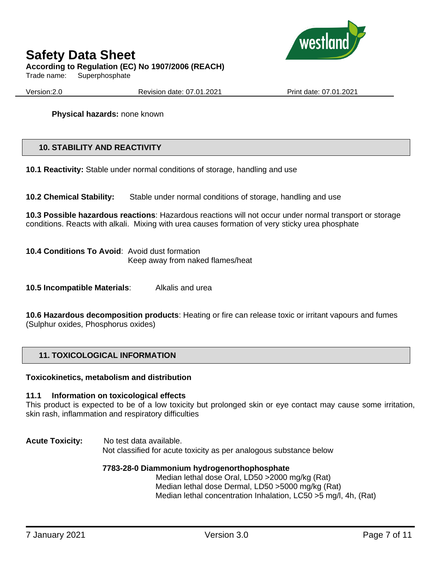

Trade name: Superphosphate

Version:2.0 Revision date: 07.01.2021 Print date: 07.01.2021

**Physical hazards:** none known

## **10. STABILITY AND REACTIVITY**

**10.1 Reactivity:** Stable under normal conditions of storage, handling and use

**10.2 Chemical Stability:** Stable under normal conditions of storage, handling and use

**10.3 Possible hazardous reactions**: Hazardous reactions will not occur under normal transport or storage conditions. Reacts with alkali. Mixing with urea causes formation of very sticky urea phosphate

**10.4 Conditions To Avoid**: Avoid dust formation Keep away from naked flames/heat

**10.5 Incompatible Materials**: Alkalis and urea

**10.6 Hazardous decomposition products**: Heating or fire can release toxic or irritant vapours and fumes (Sulphur oxides, Phosphorus oxides)

## **11. TOXICOLOGICAL INFORMATION**

#### **Toxicokinetics, metabolism and distribution**

#### **11.1 Information on toxicological effects**

This product is expected to be of a low toxicity but prolonged skin or eye contact may cause some irritation, skin rash, inflammation and respiratory difficulties

**Acute Toxicity:** No test data available. Not classified for acute toxicity as per analogous substance below

#### **7783-28-0 Diammonium hydrogenorthophosphate**

Median lethal dose Oral, LD50 >2000 mg/kg (Rat) Median lethal dose Dermal, LD50 >5000 mg/kg (Rat) Median lethal concentration Inhalation, LC50 >5 mg/l, 4h, (Rat)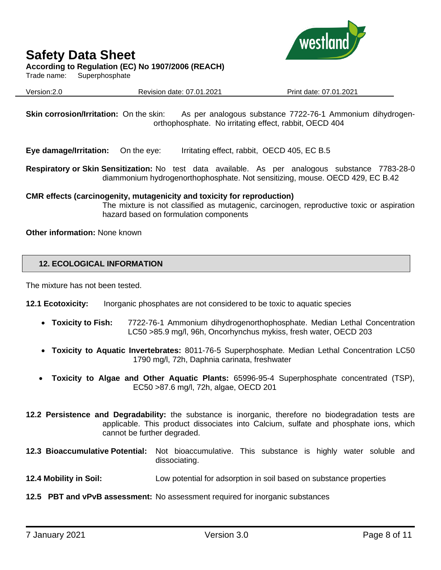#### **According to Regulation (EC) No 1907/2006 (REACH)**

Trade name: Superphosphate



Version:2.0 Revision date: 07.01.2021 Print date: 07.01.2021

**Skin corrosion/Irritation:** On the skin: As per analogous substance 7722-76-1 Ammonium dihydrogenorthophosphate. No irritating effect, rabbit, OECD 404

**Eye damage/Irritation:** On the eye: Irritating effect, rabbit, OECD 405, EC B.5

**Respiratory or Skin Sensitization:** No test data available. As per analogous substance 7783-28-0 diammonium hydrogenorthophosphate. Not sensitizing, mouse. OECD 429, EC B.42

### **CMR effects (carcinogenity, mutagenicity and toxicity for reproduction)**

The mixture is not classified as mutagenic, carcinogen, reproductive toxic or aspiration hazard based on formulation components

**Other information:** None known

### **12. ECOLOGICAL INFORMATION**

The mixture has not been tested.

**12.1 Ecotoxicity:** Inorganic phosphates are not considered to be toxic to aquatic species

- **Toxicity to Fish:** 7722-76-1 Ammonium dihydrogenorthophosphate. Median Lethal Concentration LC50 >85.9 mg/l, 96h, Oncorhynchus mykiss, fresh water, OECD 203
- **Toxicity to Aquatic Invertebrates:** 8011-76-5 Superphosphate. Median Lethal Concentration LC50 1790 mg/l, 72h, Daphnia carinata, freshwater
- **Toxicity to Algae and Other Aquatic Plants:** 65996-95-4 Superphosphate concentrated (TSP), EC50 >87.6 mg/l, 72h, algae, OECD 201
- **12.2 Persistence and Degradability:** the substance is inorganic, therefore no biodegradation tests are applicable. This product dissociates into Calcium, sulfate and phosphate ions, which cannot be further degraded.
- **12.3 Bioaccumulative Potential:** Not bioaccumulative. This substance is highly water soluble and dissociating.
- **12.4 Mobility in Soil:** Low potential for adsorption in soil based on substance properties
- **12.5 PBT and vPvB assessment:** No assessment required for inorganic substances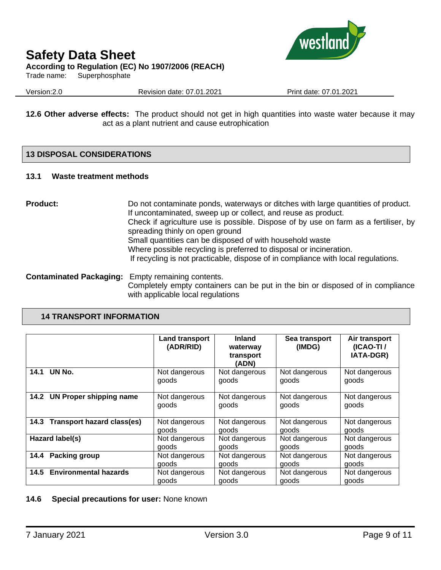

Trade name: Superphosphate

Version:2.0 Revision date: 07.01.2021 Print date: 07.01.2021

**12.6 Other adverse effects:** The product should not get in high quantities into waste water because it may act as a plant nutrient and cause eutrophication

## **13 DISPOSAL CONSIDERATIONS**

#### **13.1 Waste treatment methods**

**Product:** Do not contaminate ponds, waterways or ditches with large quantities of product. If uncontaminated, sweep up or collect, and reuse as product. Check if agriculture use is possible. Dispose of by use on farm as a fertiliser, by spreading thinly on open ground Small quantities can be disposed of with household waste Where possible recycling is preferred to disposal or incineration. If recycling is not practicable, dispose of in compliance with local regulations.

**Contaminated Packaging:** Empty remaining contents. Completely empty containers can be put in the bin or disposed of in compliance with applicable local regulations

### **14 TRANSPORT INFORMATION**

|                                   | <b>Land transport</b><br>(ADR/RID) | <b>Inland</b><br>waterway<br>transport<br>(ADN) | Sea transport<br>(IMDG) | Air transport<br>$(ICAO-TI)$<br>IATA-DGR) |
|-----------------------------------|------------------------------------|-------------------------------------------------|-------------------------|-------------------------------------------|
| UN No.                            | Not dangerous                      | Not dangerous                                   | Not dangerous           | Not dangerous                             |
| 14.1                              | goods                              | goods                                           | goods                   | goods                                     |
| 14.2                              | Not dangerous                      | Not dangerous                                   | Not dangerous           | Not dangerous                             |
| <b>UN Proper shipping name</b>    | goods                              | goods                                           | goods                   | goods                                     |
| <b>Transport hazard class(es)</b> | Not dangerous                      | Not dangerous                                   | Not dangerous           | Not dangerous                             |
| 14.3                              | goods                              | goods                                           | goods                   | goods                                     |
| Hazard label(s)                   | Not dangerous                      | Not dangerous                                   | Not dangerous           | Not dangerous                             |
|                                   | goods                              | goods                                           | goods                   | goods                                     |
| Packing group                     | Not dangerous                      | Not dangerous                                   | Not dangerous           | Not dangerous                             |
| 14.4                              | goods                              | goods                                           | goods                   | goods                                     |
| <b>Environmental hazards</b>      | Not dangerous                      | Not dangerous                                   | Not dangerous           | Not dangerous                             |
| 14.5                              | goods                              | goods                                           | goods                   | goods                                     |

**14.6 Special precautions for user:** None known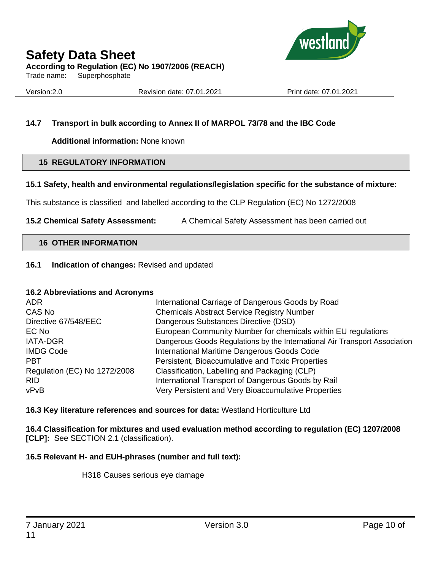

Trade name: Superphosphate

Version:2.0 Revision date: 07.01.2021 Print date: 07.01.2021

## **14.7 Transport in bulk according to Annex II of MARPOL 73/78 and the IBC Code**

**Additional information:** None known

## **15 REGULATORY INFORMATION**

## **15.1 Safety, health and environmental regulations/legislation specific for the substance of mixture:**

This substance is classified and labelled according to the CLP Regulation (EC) No 1272/2008

**15.2 Chemical Safety Assessment:** A Chemical Safety Assessment has been carried out

## **16 OTHER INFORMATION**

## **16.1 Indication of changes:** Revised and updated

## **16.2 Abbreviations and Acronyms**

| <b>ADR</b>                   | International Carriage of Dangerous Goods by Road                          |
|------------------------------|----------------------------------------------------------------------------|
| CAS No                       | <b>Chemicals Abstract Service Registry Number</b>                          |
| Directive 67/548/EEC         | Dangerous Substances Directive (DSD)                                       |
| EC No                        | European Community Number for chemicals within EU regulations              |
| <b>IATA-DGR</b>              | Dangerous Goods Regulations by the International Air Transport Association |
| <b>IMDG Code</b>             | International Maritime Dangerous Goods Code                                |
| <b>PBT</b>                   | Persistent, Bioaccumulative and Toxic Properties                           |
| Regulation (EC) No 1272/2008 | Classification, Labelling and Packaging (CLP)                              |
| <b>RID</b>                   | International Transport of Dangerous Goods by Rail                         |
| vPvB                         | Very Persistent and Very Bioaccumulative Properties                        |

**16.3 Key literature references and sources for data:** Westland Horticulture Ltd

**16.4 Classification for mixtures and used evaluation method according to regulation (EC) 1207/2008 [CLP]:** See SECTION 2.1 (classification).

## **16.5 Relevant H- and EUH-phrases (number and full text):**

H318 Causes serious eye damage